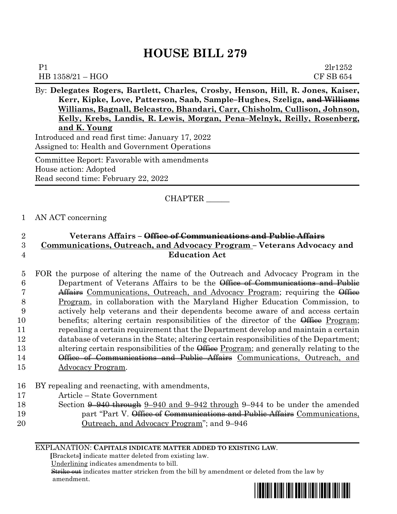# **HOUSE BILL 279**

| - -<br>$\overline{\phantom{a}}$<br>$\sim$ $\sim$ | $\overline{\phantom{a}}$ |  | $\sim$ | $- -$ | $- - - - -$ |  | $- -$     |
|--------------------------------------------------|--------------------------|--|--------|-------|-------------|--|-----------|
| $HB 1358/21 - HGO$                               |                          |  |        |       |             |  | CF SB 654 |
| P1                                               |                          |  |        |       |             |  | 21r1252   |

By: **Delegates Rogers, Bartlett, Charles, Crosby, Henson, Hill, R. Jones, Kaiser, Kerr, Kipke, Love, Patterson, Saab, Sample–Hughes, Szeliga, and Williams Williams, Bagnall, Belcastro, Bhandari, Carr, Chisholm, Cullison, Johnson, Kelly, Krebs, Landis, R. Lewis, Morgan, Pena–Melnyk, Reilly, Rosenberg, and K. Young** Introduced and read first time: January 17, 2022 Assigned to: Health and Government Operations

Committee Report: Favorable with amendments House action: Adopted Read second time: February 22, 2022

## CHAPTER \_\_\_\_\_\_

## 1 AN ACT concerning

# 2 **Veterans Affairs – Office of Communications and Public Affairs** 3 **Communications, Outreach, and Advocacy Program – Veterans Advocacy and**  4 **Education Act**

 FOR the purpose of altering the name of the Outreach and Advocacy Program in the Department of Veterans Affairs to be the Office of Communications and Public **Affairs** Communications, Outreach, and Advocacy Program; requiring the *Office* 8 Program, in collaboration with the Maryland Higher Education Commission, to actively help veterans and their dependents become aware of and access certain 10 benefits; altering certain responsibilities of the director of the  $\Theta$  Program; repealing a certain requirement that the Department develop and maintain a certain database of veterans in the State; altering certain responsibilities of the Department; 13 altering certain responsibilities of the Office Program; and generally relating to the **Office of Communications and Public Affairs** Communications, Outreach, and Advocacy Program.

- 16 BY repealing and reenacting, with amendments,
- 17 Article State Government
- 18 Section <del>9–940 through</del> 9–940 and 9–942 through 9–944 to be under the amended 19 **part "Part V.** Office of Communications and Public Affairs Communications, 20 Outreach, and Advocacy Program"; and 9–946

EXPLANATION: **CAPITALS INDICATE MATTER ADDED TO EXISTING LAW**.

 **[**Brackets**]** indicate matter deleted from existing law.

Underlining indicates amendments to bill.

Strike out indicates matter stricken from the bill by amendment or deleted from the law by amendment.

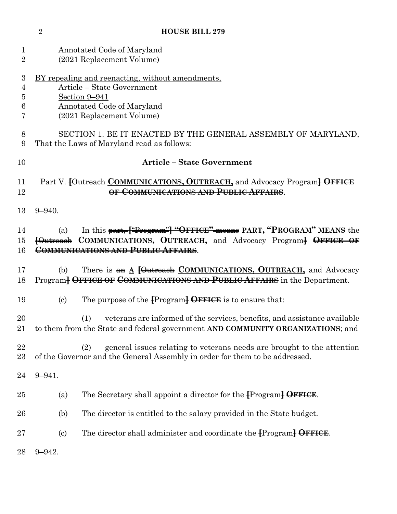|                                    | $\overline{2}$                                                                                                                                                           | <b>HOUSE BILL 279</b>                                                                                                                                                                         |  |  |  |
|------------------------------------|--------------------------------------------------------------------------------------------------------------------------------------------------------------------------|-----------------------------------------------------------------------------------------------------------------------------------------------------------------------------------------------|--|--|--|
| $\mathbf 1$<br>$\overline{2}$      | Annotated Code of Maryland<br>(2021 Replacement Volume)                                                                                                                  |                                                                                                                                                                                               |  |  |  |
| 3<br>$\overline{4}$<br>5<br>6<br>7 | <u>BY repealing and reenacting, without amendments,</u><br>Article - State Government<br>Section 9-941<br><b>Annotated Code of Maryland</b><br>(2021 Replacement Volume) |                                                                                                                                                                                               |  |  |  |
| 8<br>9                             | SECTION 1. BE IT ENACTED BY THE GENERAL ASSEMBLY OF MARYLAND,<br>That the Laws of Maryland read as follows:                                                              |                                                                                                                                                                                               |  |  |  |
| 10                                 |                                                                                                                                                                          | <b>Article - State Government</b>                                                                                                                                                             |  |  |  |
| 11<br>12                           |                                                                                                                                                                          | Part V. <b>[Outreach COMMUNICATIONS, OUTREACH</b> , and Advocacy Program] OFFICE<br>OF COMMUNICATIONS AND PUBLIC AFFAIRS.                                                                     |  |  |  |
| 13                                 | $9 - 940.$                                                                                                                                                               |                                                                                                                                                                                               |  |  |  |
| 14<br>15<br>16                     | (a)                                                                                                                                                                      | In this part, ["Program"] "OFFICE" means PART, "PROGRAM" MEANS the<br><b>[Outreach COMMUNICATIONS, OUTREACH, and Advocacy Program] OFFICE OF</b><br><b>COMMUNICATIONS AND PUBLIC AFFAIRS.</b> |  |  |  |
| 17<br>18                           | (b)                                                                                                                                                                      | There is an A [Outreach COMMUNICATIONS, OUTREACH, and Advocacy<br>Program <sup>}</sup> OFFICE OF COMMUNICATIONS AND PUBLIC AFFAIRS in the Department.                                         |  |  |  |
| 19                                 | $\left( \text{c}\right)$                                                                                                                                                 | The purpose of the $\{Program\}$ OFFICE is to ensure that:                                                                                                                                    |  |  |  |
| 20<br>$21\,$                       |                                                                                                                                                                          | (1) veterans are informed of the services, benefits, and assistance available<br>to them from the State and federal government AND COMMUNITY ORGANIZATIONS; and                               |  |  |  |
| 22<br>$23\,$                       |                                                                                                                                                                          | general issues relating to veterans needs are brought to the attention<br>(2)<br>of the Governor and the General Assembly in order for them to be addressed.                                  |  |  |  |
| 24                                 | $9 - 941.$                                                                                                                                                               |                                                                                                                                                                                               |  |  |  |
| 25                                 | (a)                                                                                                                                                                      | The Secretary shall appoint a director for the Program DFFICE.                                                                                                                                |  |  |  |
| 26                                 | (b)                                                                                                                                                                      | The director is entitled to the salary provided in the State budget.                                                                                                                          |  |  |  |
| $27\,$                             | $\left( \mathrm{c}\right)$                                                                                                                                               | The director shall administer and coordinate the Program <del>DFFICE</del> .                                                                                                                  |  |  |  |
| 28                                 | $9 - 942.$                                                                                                                                                               |                                                                                                                                                                                               |  |  |  |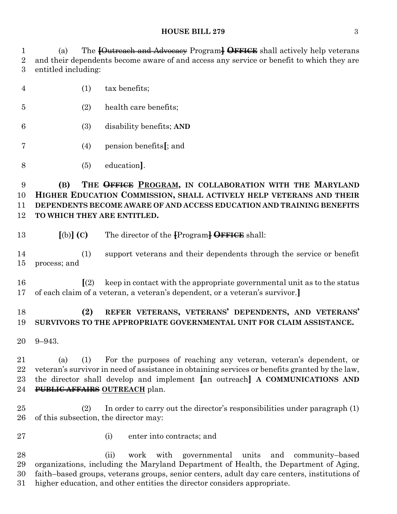## **HOUSE BILL 279** 3

 (a) The **[**Outreach and Advocacy Program**] OFFICE** shall actively help veterans and their dependents become aware of and access any service or benefit to which they are entitled including:

- (1) tax benefits;
- (2) health care benefits;
- (3) disability benefits; **AND**
- (4) pension benefits**[**; and
- (5) education**]**.

 **(B) THE OFFICE PROGRAM, IN COLLABORATION WITH THE MARYLAND HIGHER EDUCATION COMMISSION, SHALL ACTIVELY HELP VETERANS AND THEIR DEPENDENTS BECOME AWARE OF AND ACCESS EDUCATION AND TRAINING BENEFITS TO WHICH THEY ARE ENTITLED.**

**[**(b)**] (C)** The director of the **[**Program**] OFFICE** shall:

 (1) support veterans and their dependents through the service or benefit process; and

 **[**(2) keep in contact with the appropriate governmental unit as to the status of each claim of a veteran, a veteran's dependent, or a veteran's survivor.**]**

## **(2) REFER VETERANS, VETERANS' DEPENDENTS, AND VETERANS' SURVIVORS TO THE APPROPRIATE GOVERNMENTAL UNIT FOR CLAIM ASSISTANCE.**

9–943.

 (a) (1) For the purposes of reaching any veteran, veteran's dependent, or veteran's survivor in need of assistance in obtaining services or benefits granted by the law, the director shall develop and implement **[**an outreach**] A COMMUNICATIONS AND PUBLIC AFFAIRS OUTREACH** plan.

 (2) In order to carry out the director's responsibilities under paragraph (1) of this subsection, the director may:

- 
- (i) enter into contracts; and

 (ii) work with governmental units and community–based organizations, including the Maryland Department of Health, the Department of Aging, faith–based groups, veterans groups, senior centers, adult day care centers, institutions of higher education, and other entities the director considers appropriate.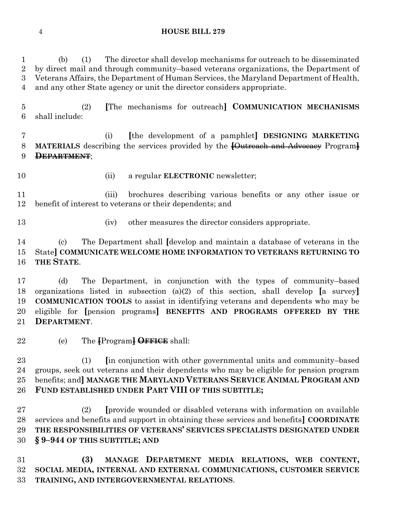#### **HOUSE BILL 279**

 (b) (1) The director shall develop mechanisms for outreach to be disseminated by direct mail and through community–based veterans organizations, the Department of Veterans Affairs, the Department of Human Services, the Maryland Department of Health, and any other State agency or unit the director considers appropriate.

 (2) **[**The mechanisms for outreach**] COMMUNICATION MECHANISMS** shall include:

 (i) **[**the development of a pamphlet**] DESIGNING MARKETING MATERIALS** describing the services provided by the **[**Outreach and Advocacy Program**] DEPARTMENT**;

- 
- (ii) a regular **ELECTRONIC** newsletter;

 (iii) brochures describing various benefits or any other issue or benefit of interest to veterans or their dependents; and

- 
- (iv) other measures the director considers appropriate.

 (c) The Department shall **[**develop and maintain a database of veterans in the State**] COMMUNICATE WELCOME HOME INFORMATION TO VETERANS RETURNING TO THE STATE**.

 (d) The Department, in conjunction with the types of community–based organizations listed in subsection (a)(2) of this section, shall develop **[**a survey**] COMMUNICATION TOOLS** to assist in identifying veterans and dependents who may be eligible for **[**pension programs**] BENEFITS AND PROGRAMS OFFERED BY THE DEPARTMENT**.

(e) The **[**Program**] OFFICE** shall:

 (1) **[**in conjunction with other governmental units and community–based groups, seek out veterans and their dependents who may be eligible for pension program benefits; and**] MANAGE THE MARYLAND VETERANS SERVICE ANIMAL PROGRAM AND FUND ESTABLISHED UNDER PART VIII OF THIS SUBTITLE;**

 (2) **[**provide wounded or disabled veterans with information on available services and benefits and support in obtaining these services and benefits**] COORDINATE THE RESPONSIBILITIES OF VETERANS' SERVICES SPECIALISTS DESIGNATED UNDER § 9–944 OF THIS SUBTITLE; AND**

 **(3) MANAGE DEPARTMENT MEDIA RELATIONS, WEB CONTENT, SOCIAL MEDIA, INTERNAL AND EXTERNAL COMMUNICATIONS, CUSTOMER SERVICE TRAINING, AND INTERGOVERNMENTAL RELATIONS**.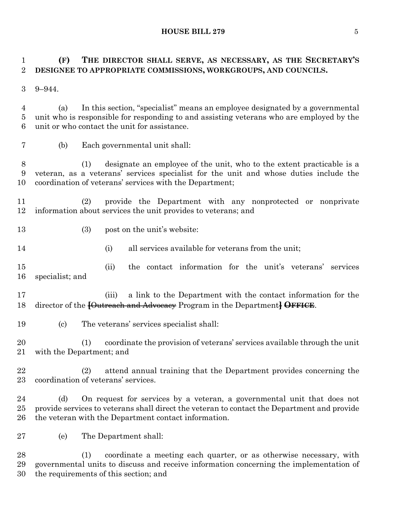**HOUSE BILL 279** 5

# **(F) THE DIRECTOR SHALL SERVE, AS NECESSARY, AS THE SECRETARY'S DESIGNEE TO APPROPRIATE COMMISSIONS, WORKGROUPS, AND COUNCILS.**

9–944.

 (a) In this section, "specialist" means an employee designated by a governmental unit who is responsible for responding to and assisting veterans who are employed by the unit or who contact the unit for assistance.

(b) Each governmental unit shall:

 (1) designate an employee of the unit, who to the extent practicable is a veteran, as a veterans' services specialist for the unit and whose duties include the coordination of veterans' services with the Department;

 (2) provide the Department with any nonprotected or nonprivate information about services the unit provides to veterans; and

- 13 (3) post on the unit's website:
- 14 (i) all services available for veterans from the unit:

 (ii) the contact information for the unit's veterans' services specialist; and

 (iii) a link to the Department with the contact information for the director of the **[**Outreach and Advocacy Program in the Department**] OFFICE**.

(c) The veterans' services specialist shall:

 (1) coordinate the provision of veterans' services available through the unit with the Department; and

 (2) attend annual training that the Department provides concerning the coordination of veterans' services.

 (d) On request for services by a veteran, a governmental unit that does not provide services to veterans shall direct the veteran to contact the Department and provide the veteran with the Department contact information.

(e) The Department shall:

 (1) coordinate a meeting each quarter, or as otherwise necessary, with governmental units to discuss and receive information concerning the implementation of the requirements of this section; and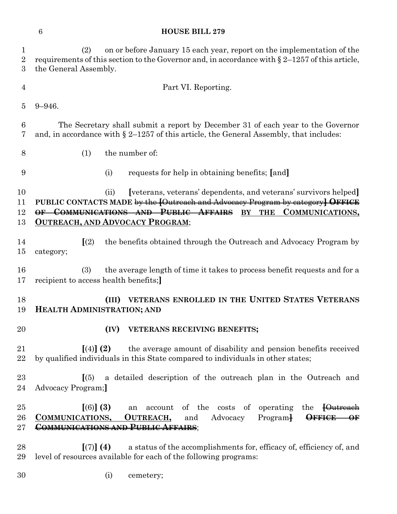# **HOUSE BILL 279**

| 1<br>$\overline{2}$<br>3 | on or before January 15 each year, report on the implementation of the<br>(2)<br>requirements of this section to the Governor and, in accordance with $\S 2-1257$ of this article,<br>the General Assembly.                                                               |
|--------------------------|---------------------------------------------------------------------------------------------------------------------------------------------------------------------------------------------------------------------------------------------------------------------------|
| $\overline{4}$           | Part VI. Reporting.                                                                                                                                                                                                                                                       |
| 5                        | $9 - 946.$                                                                                                                                                                                                                                                                |
| 6<br>7                   | The Secretary shall submit a report by December 31 of each year to the Governor<br>and, in accordance with $\S 2-1257$ of this article, the General Assembly, that includes:                                                                                              |
| 8                        | the number of:<br>(1)                                                                                                                                                                                                                                                     |
| 9                        | (i)<br>requests for help in obtaining benefits; [and]                                                                                                                                                                                                                     |
| 10<br>11<br>12<br>13     | [veterans, veterans' dependents, and veterans' survivors helped]<br>(ii)<br>PUBLIC CONTACTS MADE by the [Outreach and Advocacy Program by category] OFFICE<br>OF COMMUNICATIONS AND PUBLIC AFFAIRS<br>BY THE<br>COMMUNICATIONS,<br><b>OUTREACH, AND ADVOCACY PROGRAM;</b> |
| 14<br>15                 | $\sqrt{(2)}$<br>the benefits obtained through the Outreach and Advocacy Program by<br>category;                                                                                                                                                                           |
| 16<br>17                 | the average length of time it takes to process benefit requests and for a<br>(3)<br>recipient to access health benefits;                                                                                                                                                  |
| 18<br>19                 | VETERANS ENROLLED IN THE UNITED STATES VETERANS<br>(III)<br><b>HEALTH ADMINISTRATION; AND</b>                                                                                                                                                                             |
| 20                       | VETERANS RECEIVING BENEFITS;<br>(IV)                                                                                                                                                                                                                                      |
| 21<br>22                 | the average amount of disability and pension benefits received<br>$(4)$ (2)<br>by qualified individuals in this State compared to individuals in other states;                                                                                                            |
| $23\,$<br>24             | a detailed description of the outreach plan in the Outreach and<br>(5)<br>Advocacy Program;                                                                                                                                                                               |
| $25\,$<br>26<br>$27\,$   | [(6)] (3)<br>account of the costs of<br>operating the <del>[Outreach</del><br>an<br>OUTREACH,<br>Advocacy<br>COMMUNICATIONS,<br>Program <sup>1</sup><br><b>OFFICE</b><br>and<br>$\rightarrow$<br>COMMUNICATIONS AND PUBLIC AFFAIRS;                                       |
| $^{28}$<br>29            | a status of the accomplishments for, efficacy of, efficiency of, and<br>[(7)] (4)<br>level of resources available for each of the following programs:                                                                                                                     |

(i) cemetery;